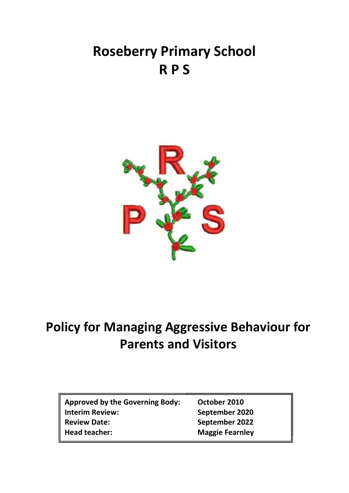# **Roseberry Primary School R P S**



## **Policy for Managing Aggressive Behaviour for Parents and Visitors**

| <b>Approved by the Governing Body:</b> |
|----------------------------------------|
| <b>Interim Review:</b>                 |
| <b>Review Date:</b>                    |
| <b>Head teacher:</b>                   |

**Approx 2010 Interim Review: September 2020 Review Date: September 2022 Maggie Fearnley**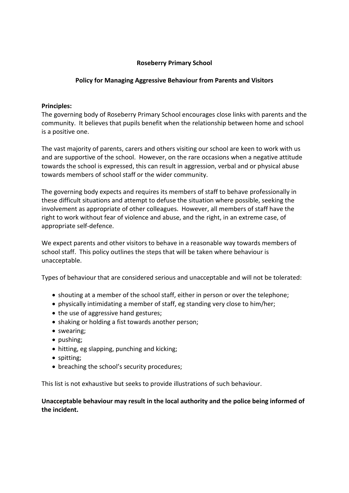## **Roseberry Primary School**

### **Policy for Managing Aggressive Behaviour from Parents and Visitors**

#### **Principles:**

The governing body of Roseberry Primary School encourages close links with parents and the community. It believes that pupils benefit when the relationship between home and school is a positive one.

The vast majority of parents, carers and others visiting our school are keen to work with us and are supportive of the school. However, on the rare occasions when a negative attitude towards the school is expressed, this can result in aggression, verbal and or physical abuse towards members of school staff or the wider community.

The governing body expects and requires its members of staff to behave professionally in these difficult situations and attempt to defuse the situation where possible, seeking the involvement as appropriate of other colleagues. However, all members of staff have the right to work without fear of violence and abuse, and the right, in an extreme case, of appropriate self-defence.

We expect parents and other visitors to behave in a reasonable way towards members of school staff. This policy outlines the steps that will be taken where behaviour is unacceptable.

Types of behaviour that are considered serious and unacceptable and will not be tolerated:

- shouting at a member of the school staff, either in person or over the telephone;
- physically intimidating a member of staff, eg standing very close to him/her;
- the use of aggressive hand gestures;
- shaking or holding a fist towards another person;
- swearing;
- pushing;
- hitting, eg slapping, punching and kicking;
- spitting;
- breaching the school's security procedures;

This list is not exhaustive but seeks to provide illustrations of such behaviour.

**Unacceptable behaviour may result in the local authority and the police being informed of the incident.**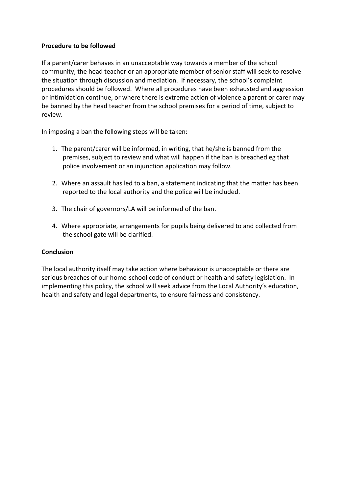#### **Procedure to be followed**

If a parent/carer behaves in an unacceptable way towards a member of the school community, the head teacher or an appropriate member of senior staff will seek to resolve the situation through discussion and mediation. If necessary, the school's complaint procedures should be followed. Where all procedures have been exhausted and aggression or intimidation continue, or where there is extreme action of violence a parent or carer may be banned by the head teacher from the school premises for a period of time, subject to review.

In imposing a ban the following steps will be taken:

- 1. The parent/carer will be informed, in writing, that he/she is banned from the premises, subject to review and what will happen if the ban is breached eg that police involvement or an injunction application may follow.
- 2. Where an assault has led to a ban, a statement indicating that the matter has been reported to the local authority and the police will be included.
- 3. The chair of governors/LA will be informed of the ban.
- 4. Where appropriate, arrangements for pupils being delivered to and collected from the school gate will be clarified.

## **Conclusion**

The local authority itself may take action where behaviour is unacceptable or there are serious breaches of our home-school code of conduct or health and safety legislation. In implementing this policy, the school will seek advice from the Local Authority's education, health and safety and legal departments, to ensure fairness and consistency.